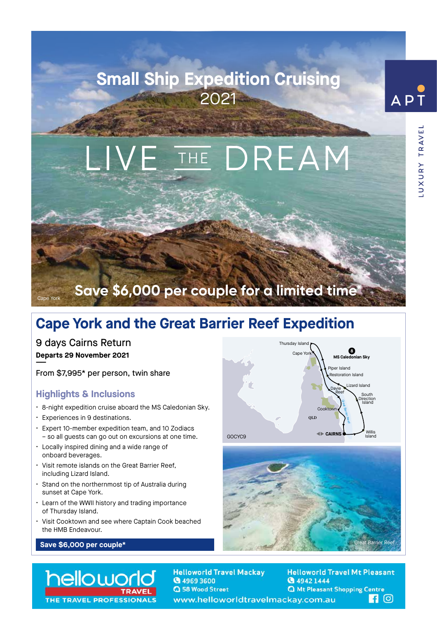## **Small Ship Expedition Cruising** 2021



UXURY TRAVEL

# THE DREAM

### **Save \$6,000 per couple for a limited time\***

#### **Cape York and the Great Barrier Reef Expedition**

9 days Cairns Return **Departs 29 November 2021**

**——**

Cape York

From \$7,995\* per person, twin share

#### **Highlights & Inclusions**

- 8-night expedition cruise aboard the MS Caledonian Sky.
- Experiences in 9 destinations.
- Expert 10-member expedition team, and 10 Zodiacs – so all guests can go out on excursions at one time.
- Locally inspired dining and a wide range of onboard beverages.
- Visit remote islands on the Great Barrier Reef, including Lizard Island.
- Stand on the northernmost tip of Australia during sunset at Cape York.
- Learn of the WWII history and trading importance of Thursday Island.
- Visit Cooktown and see where Captain Cook beached the HMB Endeavour.







helloworl THE TRAVEL PROFESSIONAL

**Helloworld Travel Mackay** ◎ 4969 3600 **Q** 58 Wood Street www.helloworldtravelmackay.com.au

**Helloworld Travel Mt Pleasant @** 4942 1444 **Q** Mt Pleasant Shopping Centre **110**